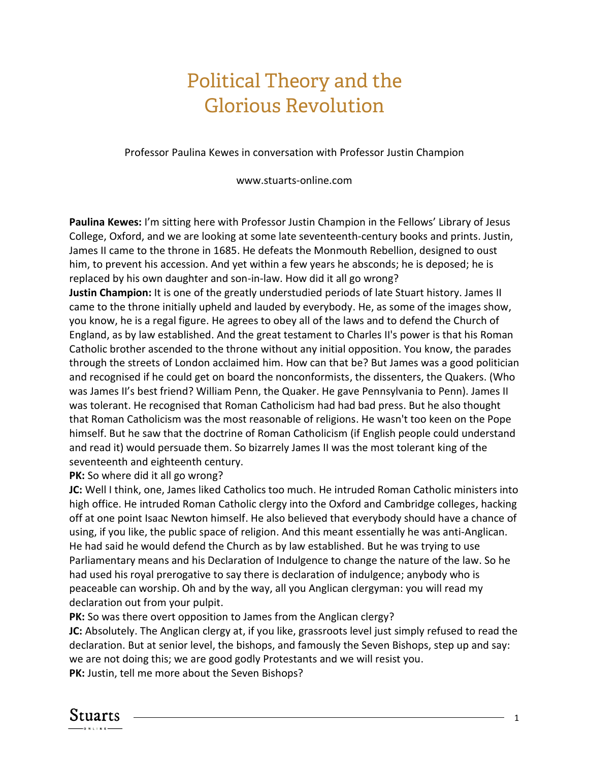## Political Theory and the Glorious Revolution

Professor Paulina Kewes in conversation with Professor Justin Champion

www.stuarts-online.com

**Paulina Kewes:** I'm sitting here with Professor Justin Champion in the Fellows' Library of Jesus College, Oxford, and we are looking at some late seventeenth-century books and prints. Justin, James II came to the throne in 1685. He defeats the Monmouth Rebellion, designed to oust him, to prevent his accession. And yet within a few years he absconds; he is deposed; he is replaced by his own daughter and son-in-law. How did it all go wrong?

**Justin Champion:** It is one of the greatly understudied periods of late Stuart history. James II came to the throne initially upheld and lauded by everybody. He, as some of the images show, you know, he is a regal figure. He agrees to obey all of the laws and to defend the Church of England, as by law established. And the great testament to Charles II's power is that his Roman Catholic brother ascended to the throne without any initial opposition. You know, the parades through the streets of London acclaimed him. How can that be? But James was a good politician and recognised if he could get on board the nonconformists, the dissenters, the Quakers. (Who was James II's best friend? William Penn, the Quaker. He gave Pennsylvania to Penn). James II was tolerant. He recognised that Roman Catholicism had had bad press. But he also thought that Roman Catholicism was the most reasonable of religions. He wasn't too keen on the Pope himself. But he saw that the doctrine of Roman Catholicism (if English people could understand and read it) would persuade them. So bizarrely James II was the most tolerant king of the seventeenth and eighteenth century.

## **PK:** So where did it all go wrong?

**JC:** Well I think, one, James liked Catholics too much. He intruded Roman Catholic ministers into high office. He intruded Roman Catholic clergy into the Oxford and Cambridge colleges, hacking off at one point Isaac Newton himself. He also believed that everybody should have a chance of using, if you like, the public space of religion. And this meant essentially he was anti-Anglican. He had said he would defend the Church as by law established. But he was trying to use Parliamentary means and his Declaration of Indulgence to change the nature of the law. So he had used his royal prerogative to say there is declaration of indulgence; anybody who is peaceable can worship. Oh and by the way, all you Anglican clergyman: you will read my declaration out from your pulpit.

**PK:** So was there overt opposition to James from the Anglican clergy?

**JC:** Absolutely. The Anglican clergy at, if you like, grassroots level just simply refused to read the declaration. But at senior level, the bishops, and famously the Seven Bishops, step up and say: we are not doing this; we are good godly Protestants and we will resist you. **PK:** Justin, tell me more about the Seven Bishops?

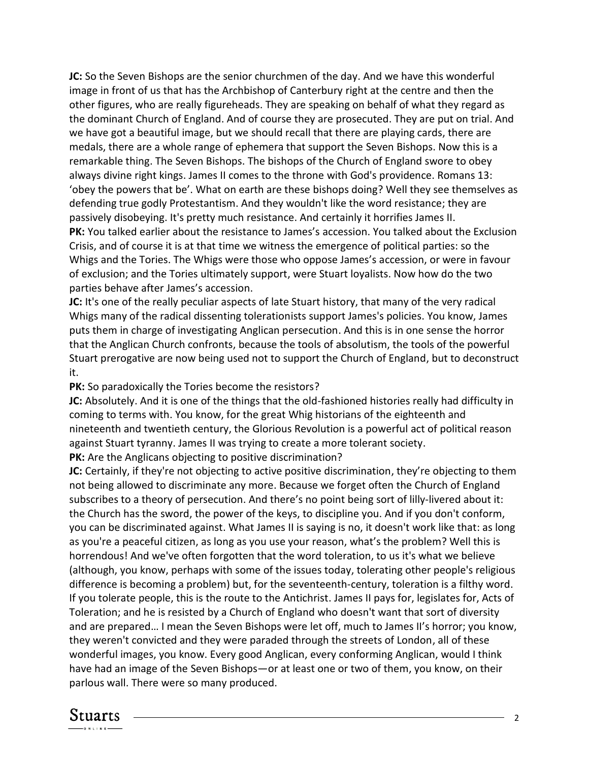**JC:** So the Seven Bishops are the senior churchmen of the day. And we have this wonderful image in front of us that has the Archbishop of Canterbury right at the centre and then the other figures, who are really figureheads. They are speaking on behalf of what they regard as the dominant Church of England. And of course they are prosecuted. They are put on trial. And we have got a beautiful image, but we should recall that there are playing cards, there are medals, there are a whole range of ephemera that support the Seven Bishops. Now this is a remarkable thing. The Seven Bishops. The bishops of the Church of England swore to obey always divine right kings. James II comes to the throne with God's providence. Romans 13: 'obey the powers that be'. What on earth are these bishops doing? Well they see themselves as defending true godly Protestantism. And they wouldn't like the word resistance; they are passively disobeying. It's pretty much resistance. And certainly it horrifies James II. **PK:** You talked earlier about the resistance to James's accession. You talked about the Exclusion Crisis, and of course it is at that time we witness the emergence of political parties: so the Whigs and the Tories. The Whigs were those who oppose James's accession, or were in favour of exclusion; and the Tories ultimately support, were Stuart loyalists. Now how do the two parties behave after James's accession.

**JC:** It's one of the really peculiar aspects of late Stuart history, that many of the very radical Whigs many of the radical dissenting tolerationists support James's policies. You know, James puts them in charge of investigating Anglican persecution. And this is in one sense the horror that the Anglican Church confronts, because the tools of absolutism, the tools of the powerful Stuart prerogative are now being used not to support the Church of England, but to deconstruct it.

**PK:** So paradoxically the Tories become the resistors?

**JC:** Absolutely. And it is one of the things that the old-fashioned histories really had difficulty in coming to terms with. You know, for the great Whig historians of the eighteenth and nineteenth and twentieth century, the Glorious Revolution is a powerful act of political reason against Stuart tyranny. James II was trying to create a more tolerant society. **PK:** Are the Anglicans objecting to positive discrimination?

**JC:** Certainly, if they're not objecting to active positive discrimination, they're objecting to them not being allowed to discriminate any more. Because we forget often the Church of England subscribes to a theory of persecution. And there's no point being sort of lilly-livered about it: the Church has the sword, the power of the keys, to discipline you. And if you don't conform, you can be discriminated against. What James II is saying is no, it doesn't work like that: as long as you're a peaceful citizen, as long as you use your reason, what's the problem? Well this is horrendous! And we've often forgotten that the word toleration, to us it's what we believe (although, you know, perhaps with some of the issues today, tolerating other people's religious difference is becoming a problem) but, for the seventeenth-century, toleration is a filthy word. If you tolerate people, this is the route to the Antichrist. James II pays for, legislates for, Acts of Toleration; and he is resisted by a Church of England who doesn't want that sort of diversity and are prepared… I mean the Seven Bishops were let off, much to James II's horror; you know, they weren't convicted and they were paraded through the streets of London, all of these wonderful images, you know. Every good Anglican, every conforming Anglican, would I think have had an image of the Seven Bishops—or at least one or two of them, you know, on their parlous wall. There were so many produced.